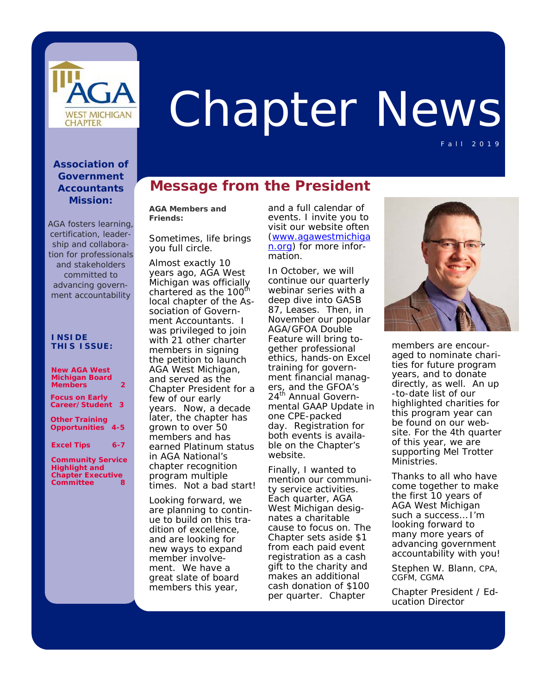

# Chapter News

Fall 2019

#### **Association of Government Accountants Mission:**

*AGA fosters learning, certification, leadership and collaboration for professionals and stakeholders committed to advancing government accountability*

#### **INS I DE T H I S I SSUE:**

| <b>New AGA West</b><br><b>Michigan Board</b>      |
|---------------------------------------------------|
| <b>Members</b><br>2                               |
| <b>Focus on Early</b><br>Career/Student<br>3      |
| <b>Other Training</b><br><b>Opportunities 4-5</b> |
| <b>Excel Tips</b><br>$6 - 7$                      |
| <b>Community Service</b><br><b>Highlight and</b>  |

**Highlight and Chapter Executive Committee 8** 

## **Message from the President**

**AGA Members and Friends:** 

Sometimes, life brings you full circle.

Almost exactly 10 years ago, AGA West Michigan was officially chartered as the 100<sup>th</sup> local chapter of the Association of Government Accountants. I was privileged to join with 21 other charter members in signing the petition to launch AGA West Michigan, and served as the Chapter President for a few of our early years. Now, a decade later, the chapter has grown to over 50 members and has earned Platinum status in AGA National's chapter recognition program multiple times. Not a bad start!

Looking forward, we are planning to continue to build on this tradition of excellence, and are looking for new ways to expand member involvement. We have a great slate of board members this year,

and a full calendar of events. I invite you to visit our website often (www.agawestmichiga n.org) for more information.

In October, we will continue our quarterly webinar series with a deep dive into GASB 87, *Leases*. Then, in November our popular AGA/GFOA Double Feature will bring together professional ethics, hands-on Excel training for government financial managers, and the GFOA's 24<sup>th</sup> Annual Governmental GAAP Update in one CPE-packed day. Registration for both events is available on the Chapter's website.

Finally, I wanted to mention our community service activities. Each quarter, AGA West Michigan designates a charitable cause to focus on. The Chapter sets aside \$1 from each paid event registration as a cash gift to the charity and makes an additional cash donation of \$100 per quarter. Chapter



members are encouraged to nominate charities for future program years, and to donate directly, as well. An up -to-date list of our highlighted charities for this program year can be found on our website. For the 4th quarter of this year, we are supporting Mel Trotter Ministries.

Thanks to all who have come together to make the first 10 years of AGA West Michigan such a success… I'm looking forward to many more years of advancing government accountability with you!

Stephen W. Blann, CPA, CGFM, CGMA

Chapter President / Education Director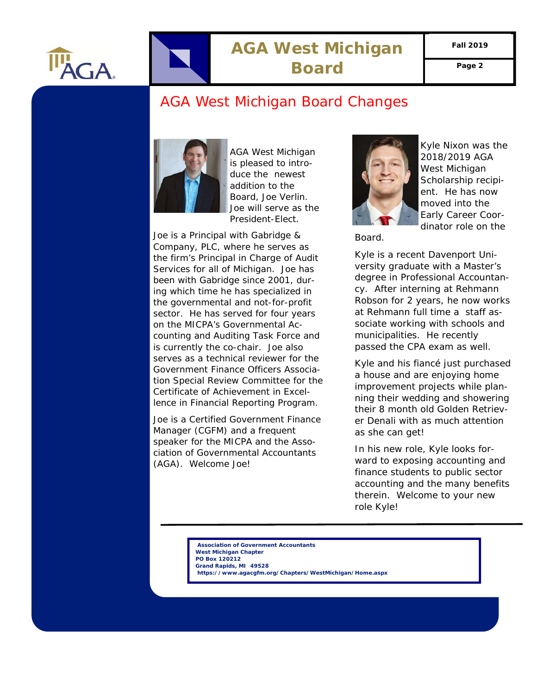<span id="page-1-0"></span>

# **AGA West Michigan**  Board Page 2

**Fall 2019** 

## AGA West Michigan Board Changes



AGA West Michigan is pleased to introduce the newest addition to the Board, Joe Verlin. Joe will serve as the President-Elect.

Joe is a Principal with Gabridge & Company, PLC, where he serves as the firm's Principal in Charge of Audit Services for all of Michigan. Joe has been with Gabridge since 2001, during which time he has specialized in the governmental and not-for-profit sector. He has served for four years on the MICPA's Governmental Accounting and Auditing Task Force and is currently the co-chair. Joe also serves as a technical reviewer for the Government Finance Officers Association Special Review Committee for the Certificate of Achievement in Excellence in Financial Reporting Program.

Joe is a Certified Government Finance Manager (CGFM) and a frequent speaker for the MICPA and the Association of Governmental Accountants (AGA). Welcome Joe!



Kyle Nixon was the 2018/2019 AGA West Michigan Scholarship recipient. He has now moved into the Early Career Coordinator role on the

Board.

Kyle is a recent Davenport University graduate with a Master's degree in Professional Accountancy. After interning at Rehmann Robson for 2 years, he now works at Rehmann full time a staff associate working with schools and municipalities. He recently passed the CPA exam as well.

Kyle and his fiancé just purchased a house and are enjoying home improvement projects while planning their wedding and showering their 8 month old Golden Retriever Denali with as much attention as she can get!

In his new role, Kyle looks forward to exposing accounting and finance students to public sector accounting and the many benefits therein. Welcome to your new role Kyle!

 **Association of Government Accountants West Michigan Chapter PO Box 120212 Grand Rapids, MI 49528 https://www.agacgfm.org/Chapters/WestMichigan/Home.aspx**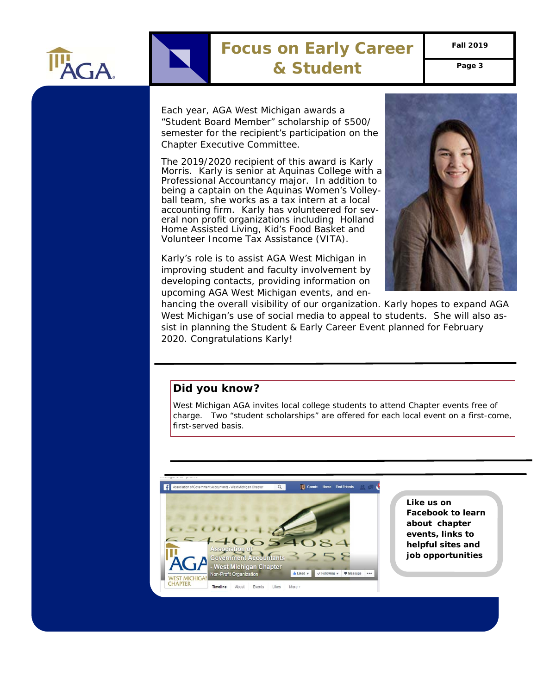<span id="page-2-0"></span>

## **Focus on Early Career & Student Page 3**

**Fall 2019** 

Each year, AGA West Michigan awards a "Student Board Member" scholarship of \$500/ semester for the recipient's participation on the Chapter Executive Committee.

The 2019/2020 recipient of this award is Karly Morris. Karly is senior at Aquinas College with a Professional Accountancy major. In addition to being a captain on the Aquinas Women's Volleyball team, she works as a tax intern at a local accounting firm. Karly has volunteered for several non profit organizations including Holland Home Assisted Living, Kid's Food Basket and Volunteer Income Tax Assistance (VITA).

Karly's role is to assist AGA West Michigan in improving student and faculty involvement by developing contacts, providing information on upcoming AGA West Michigan events, and en-



hancing the overall visibility of our organization. Karly hopes to expand AGA West Michigan's use of social media to appeal to students. She will also assist in planning the Student & Early Career Event planned for February 2020. Congratulations Karly!

#### **Did you know?**

West Michigan AGA invites local college students to attend Chapter events free of charge. Two "student scholarships" are offered for each local event on a first-come, first-served basis.



**Like us on Facebook to learn about chapter events, links to helpful sites and job opportunities**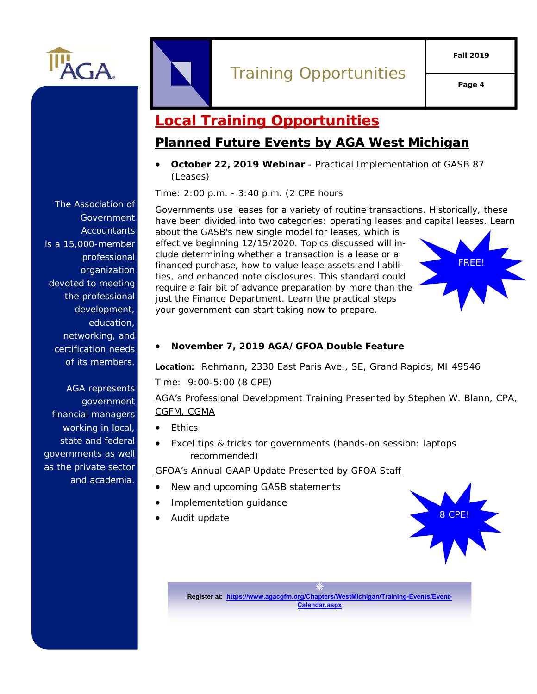

<span id="page-3-0"></span>

# Training Opportunities

**Page 4** 

# **Local Training Opportunities**

## **Planned Future Events by AGA West Michigan**

 **October 22, 2019 Webinar** - Practical Implementation of GASB 87 (Leases)

Time: 2:00 p.m. - 3:40 p.m. (2 CPE hours

 Governments use leases for a variety of routine transactions. Historically, these have been divided into two categories: operating leases and capital leases. Learn

about the GASB's new single model for leases, which is effective beginning 12/15/2020. Topics discussed will include determining whether a transaction is a lease or a financed purchase, how to value lease assets and liabilities, and enhanced note disclosures. This standard could require a fair bit of advance preparation by more than the just the Finance Department. Learn the practical steps your government can start taking now to prepare.



#### **November 7, 2019 AGA/GFOA Double Feature**

**Location:** Rehmann, 2330 East Paris Ave., SE, Grand Rapids, MI 49546 Time: 9:00-5:00 (8 CPE)

#### AGA's Professional Development Training Presented by Stephen W. Blann, CPA, CGFM, CGMA

- Ethics
- Excel tips & tricks for governments *(hands-on session: laptops recommended)*

#### GFOA's Annual GAAP Update Presented by GFOA Staff

- New and upcoming GASB statements
- Implementation guidance
- Audit update



**Register at: https://www.agacgfm.org/Chapters/WestMichigan/Training-Events/Event-Calendar.aspx**

The Association of Government **Accountants** is a 15,000-member professional organization devoted to meeting the professional development, education, networking, and certification needs of its members.

AGA represents government financial managers working in local, state and federal governments as well as the private sector and academia.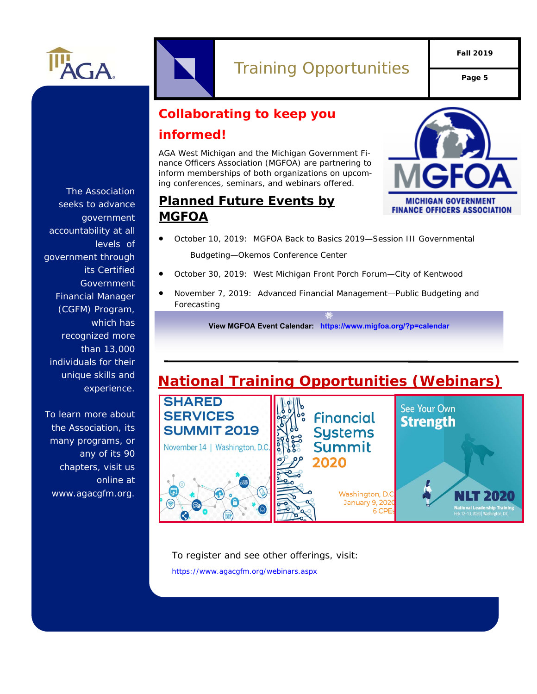

# Training Opportunities **Page 5**

**Fall 2019** 

# **Collaborating to keep you informed!**

AGA West Michigan and the Michigan Government Finance Officers Association (MGFOA) are partnering to inform memberships of both organizations on upcoming conferences, seminars, and webinars offered.



## **Planned Future Events by MGFOA**

- October 10, 2019: MGFOA Back to Basics 2019—Session III Governmental Budgeting—Okemos Conference Center
- October 30, 2019: West Michigan Front Porch Forum—City of Kentwood
- November 7, 2019: Advanced Financial Management—Public Budgeting and Forecasting

**View MGFOA Event Calendar: https://www.migfoa.org/?p=calendar**

# **National Training Opportunities (Webinars)**



To register and see other offerings, visit:

https://www.agacgfm.org/webinars.aspx

The Association seeks to advance government accountability at all levels of government through its Certified Government Financial Manager (CGFM) Program, which has recognized more than 13,000 individuals for their unique skills and experience.

To learn more about the Association, its many programs, or any of its 90 chapters, visit us online at www.agacgfm.org.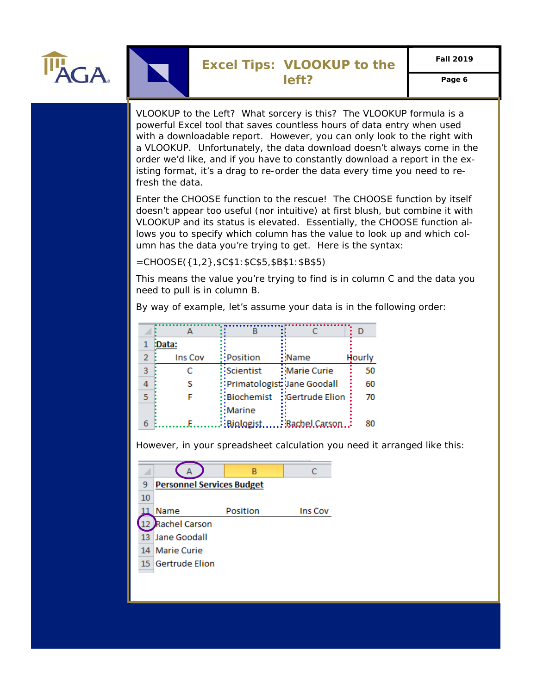<span id="page-5-0"></span>

### **Excel Tips: VLOOKUP to the left? Page 6**

VLOOKUP to the Left? What sorcery is this? The VLOOKUP formula is a powerful Excel tool that saves countless hours of data entry when used with a downloadable report. However, you can only look to the right with a VLOOKUP. Unfortunately, the data download doesn't always come in the order we'd like, and if you have to constantly download a report in the existing format, it's a drag to re-order the data every time you need to refresh the data.

Enter the CHOOSE function to the rescue! The CHOOSE function by itself doesn't appear too useful (nor intuitive) at first blush, but combine it with VLOOKUP and its status is elevated. Essentially, the CHOOSE function allows you to specify which column has the value to look up and which column has the data you're trying to get. Here is the syntax:

=CHOOSE({1,2},\$C\$1:\$C\$5,\$B\$1:\$B\$5)

This means the value you're trying to find is in column C and the data you need to pull is in column B.

By way of example, let's assume your data is in the following order:

|   | :Data:  |                              |                              |        |
|---|---------|------------------------------|------------------------------|--------|
|   | Ins Cov | Position                     | $\frac{1}{2}$ Name           | Hourly |
| 3 |         | :Scientist                   | <b>∶Marie Curie</b>          | 50     |
|   |         | :Primatologist: Jane Goodall |                              | 60     |
|   |         |                              | :Biochemist : Gertrude Elion | 70     |
|   |         | :Marine                      |                              |        |
|   |         | $:$ Biologist                | $\vdots$ Bachel.Carson       |        |

However, in your spreadsheet calculation you need it arranged like this:

| <b>Personnel Services Budget</b> |          |         |  |  |
|----------------------------------|----------|---------|--|--|
|                                  |          |         |  |  |
| Name                             | Position | Ins Cov |  |  |
| Rachel Carson                    |          |         |  |  |
| 13 Jane Goodall                  |          |         |  |  |
| 14 Marie Curie                   |          |         |  |  |
| 15 Gertrude Elion                |          |         |  |  |
|                                  |          | В       |  |  |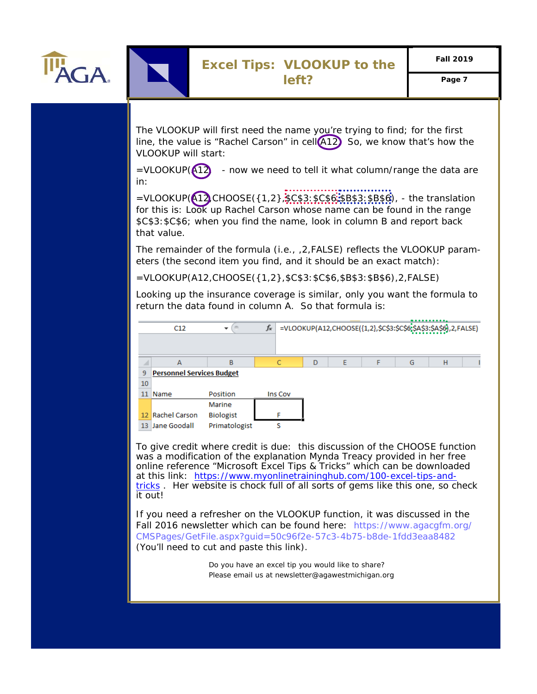

The VLOOKUP will first need the name you're trying to find; for the first line, the value is "Rachel Carson" in cell $(A12)$  So, we know that's how the VLOOKUP will start:

 $=$ VLOOKUP( $\overline{A12}$ ) - now we need to tell it what column/range the data are in:

=VLOOKUP(412,CHOOSE({1,2},\$C\$3:\$C\$6,\$B\$3:\$B\$6), - the translation for this is: Look up Rachel Carson whose name can be found in the range \$C\$3:\$C\$6; when you find the name, look in column B and report back that value.

The remainder of the formula (i.e., ,2,FALSE) reflects the VLOOKUP parameters (the second item you find, and it should be an exact match):

=VLOOKUP(A12,CHOOSE({1,2},\$C\$3:\$C\$6,\$B\$3:\$B\$6),2,FALSE)

Looking up the insurance coverage is similar, only you want the formula to return the data found in column A. So that formula is:



To give credit where credit is due: this discussion of the CHOOSE function was a modification of the explanation Mynda Treacy provided in her free online reference "Microsoft Excel Tips & Tricks" which can be downloaded at this link: https://www.myonlinetraininghub.com/100-excel-tips-andtricks . Her website is chock full of all sorts of gems like this one, so check it out!

If you need a refresher on the VLOOKUP function, it was discussed in the Fall 2016 newsletter which can be found here: https://www.agacgfm.org/ CMSPages/GetFile.aspx?guid=50c96f2e-57c3-4b75-b8de-1fdd3eaa8482 (You'll need to cut and paste this link).

> *Do you have an excel tip you would like to share? Please email us at newsletter@agawestmichigan.org Do you have an excel tip you would like to share?*